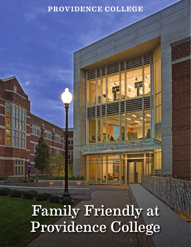#### PROVIDENCE COLLEGE

Family Friendly at Providence College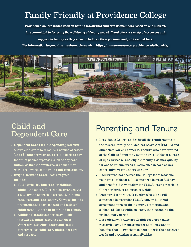#### Family Friendly at Providence College

**Providence College prides itself on being a family that supports its members based on our mission. It is committed to fostering the well-being of faculty and staff and offers a variety of resources and support for faculty as they strive to balance their personal and professional lives.**

**For information beyond this brochure, please visit: https://human-resources.providence.edu/benefits/**



# Child and

- **Dependent Care Flexible Spending Account** allows employees to set aside a portion of salary (up to \$5,000 per year) on a pre-tax basis to pay for out-of-pocket expenses, such as day care tuition, so that the employee or spouse may work, seek work, or study as a full-time student.
- **Bright Horizons CareDirect Program** includes:
	- 1. Full-service backup care for children, adults, and elders. Care can be arranged via a nationwide network of screened, in-home caregivers and care centers. Services include urgent/planned care for well and mildly ill children/adults both in-home and in-center.
	- 2. Additional family support is available through an online caregiver database (Sittercity), allowing faculty and staff to directly select child care, adult/elder care, and pet care.

# Dependent Care Parenting and Tenure

- Providence College abides by all the requirements of the federal Family and Medical Leave Act (FMLA) and other state law entitlements. Faculty who have worked at the College for up to 12 months are eligible for a leave of up to 12 weeks, and eligible faculty also may qualify for one additional week of leave once in each of two consecutive years under state law.
- Faculty who have served the College for at least one year are eligible for a full semester's leave at full pay and benefits if they qualify for FMLA leave for serious illness or birth or adoption of a child.
- Untenured tenure-track faculty who take a full semester's leave under FMLA can, by bi-lateral agreement, turn off their tenure, promotion, and sabbatical clocks while on leave, thus extending the probationary period.
- Probationary faculty are eligible for a pre-tenure research leave, for one semester at full pay and full benefits, that allows them to better juggle their research needs and parenting responsibilities.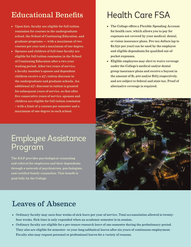#### Educational Benefits

- Upon hire, faculty are eligible for full tuition remission for courses in the undergraduate school, the School of Continuing Education, and graduate programs — with a maximum of two courses per year and a maximum of one degree.
- Spouses and children of full-time faculty are eligible for full tuition remission in the School of Continuing Education after a two-year waiting period. After two years of service, a faculty member's spouse and dependent children receive a 25% tuition discount in the undergraduate and graduate schools. An additional 25% discount in tuition is granted for subsequent years of service, so that after five consecutive years of service, spouses and children are eligible for full tuition remission – with a limit of 4 courses per semester and a maximum of one degree in each school.

## Health Care FSA

- The College offers a Flexible Spending Account for health care, which allows you to pay for expenses not covered by your medical, dental, or vision insurance plans. Pre-tax dollars (up to \$2,650 per year) can be used by the employee and eligible dependents for qualified out-ofpocket expenses.
- Eligible employees may elect to waive coverage under the College's medical and/or dental group insurance plans and receive a buyout in the amount of \$1,400 and/or \$165 respectively, and are subject to federal and state tax. Proof of alternative coverage is required.



### Employee Assistance Program

The EAP provides psychological counseling and referral for employees and their dependents through a network of psychiatrists, psychologists, and certified family counselors. This benefit is paid fully by the College.

#### Leaves of Absence

- Ordinary faculty may earn four weeks of sick leave per year of service. Total accumulation allowed is twentyfour weeks. Sick time is only expended when an academic semester is in session.
- Ordinary faculty are eligible for a pre-tenure research leave of one semester during the probationary period. They also are eligible for semester- or year-long sabbatical leaves after six years of continuous employment. Faculty also may request personal or professional leaves for a variety of reasons.